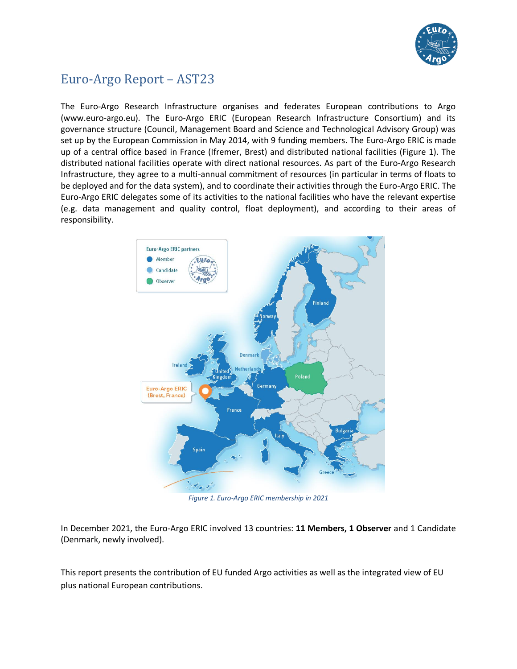

# Euro-Argo Report – AST23

The Euro-Argo Research Infrastructure organises and federates European contributions to Argo (www.euro-argo.eu). The Euro-Argo ERIC (European Research Infrastructure Consortium) and its governance structure (Council, Management Board and Science and Technological Advisory Group) was set up by the European Commission in May 2014, with 9 funding members. The Euro-Argo ERIC is made up of a central office based in France (Ifremer, Brest) and distributed national facilities (Figure 1). The distributed national facilities operate with direct national resources. As part of the Euro-Argo Research Infrastructure, they agree to a multi-annual commitment of resources (in particular in terms of floats to be deployed and for the data system), and to coordinate their activities through the Euro-Argo ERIC. The Euro-Argo ERIC delegates some of its activities to the national facilities who have the relevant expertise (e.g. data management and quality control, float deployment), and according to their areas of responsibility.



*Figure 1. Euro-Argo ERIC membership in 2021*

In December 2021, the Euro-Argo ERIC involved 13 countries: **11 Members, 1 Observer** and 1 Candidate (Denmark, newly involved).

This report presents the contribution of EU funded Argo activities as well as the integrated view of EU plus national European contributions.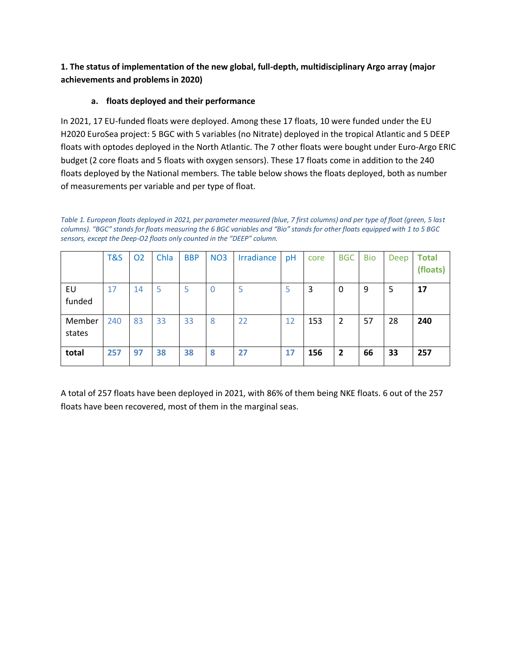**1. The status of implementation of the new global, full-depth, multidisciplinary Argo array (major achievements and problems in 2020)** 

## **a. floats deployed and their performance**

In 2021, 17 EU-funded floats were deployed. Among these 17 floats, 10 were funded under the EU H2020 EuroSea project: 5 BGC with 5 variables (no Nitrate) deployed in the tropical Atlantic and 5 DEEP floats with optodes deployed in the North Atlantic. The 7 other floats were bought under Euro-Argo ERIC budget (2 core floats and 5 floats with oxygen sensors). These 17 floats come in addition to the 240 floats deployed by the National members. The table below shows the floats deployed, both as number of measurements per variable and per type of float.

*Table 1. European floats deployed in 2021, per parameter measured (blue, 7 first columns) and per type of float (green, 5 last columns). "BGC" stands for floats measuring the 6 BGC variables and "Bio" stands for other floats equipped with 1 to 5 BGC sensors, except the Deep-O2 floats only counted in the "DEEP" column.*

|                  | T&S | 02 | Chla | <b>BBP</b> | <b>NO3</b>     | Irradiance | pH | core | <b>BGC</b>     | <b>Bio</b> | Deep | <b>Total</b><br>(floats) |
|------------------|-----|----|------|------------|----------------|------------|----|------|----------------|------------|------|--------------------------|
| EU<br>funded     | 17  | 14 |      | 5          | $\overline{0}$ | 5          | 5  | 3    | 0              | 9          | 5    | 17                       |
| Member<br>states | 240 | 83 | 33   | 33         | 8              | 22         | 12 | 153  | 2              | 57         | 28   | 240                      |
| total            | 257 | 97 | 38   | 38         | 8              | 27         | 17 | 156  | $\overline{2}$ | 66         | 33   | 257                      |

A total of 257 floats have been deployed in 2021, with 86% of them being NKE floats. 6 out of the 257 floats have been recovered, most of them in the marginal seas.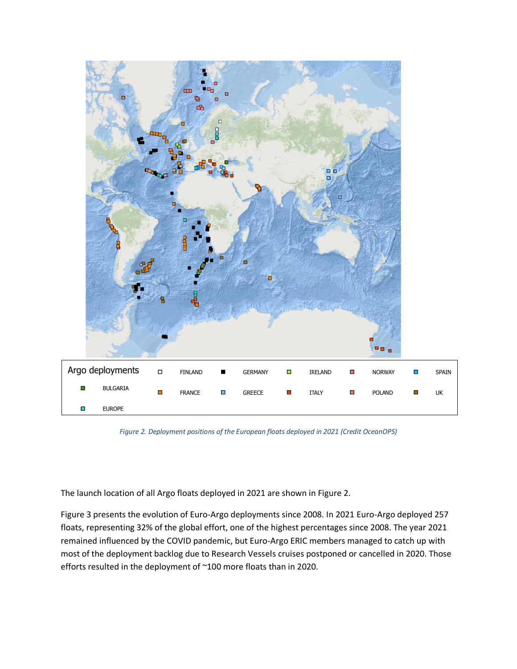

*Figure 2. Deployment positions of the European floats deployed in 2021 (Credit OceanOPS)*

The launch location of all Argo floats deployed in 2021 are shown in Figure 2.

Figure 3 presents the evolution of Euro-Argo deployments since 2008. In 2021 Euro-Argo deployed 257 floats, representing 32% of the global effort, one of the highest percentages since 2008. The year 2021 remained influenced by the COVID pandemic, but Euro-Argo ERIC members managed to catch up with most of the deployment backlog due to Research Vessels cruises postponed or cancelled in 2020. Those efforts resulted in the deployment of ~100 more floats than in 2020.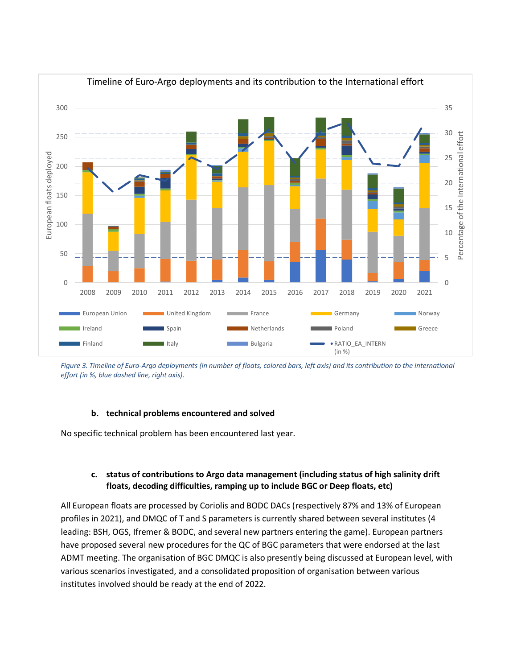

*Figure 3. Timeline of Euro-Argo deployments (in number of floats, colored bars, left axis) and its contribution to the international effort (in %, blue dashed line, right axis).*

#### **b. technical problems encountered and solved**

No specific technical problem has been encountered last year.

#### **c. status of contributions to Argo data management (including status of high salinity drift floats, decoding difficulties, ramping up to include BGC or Deep floats, etc)**

All European floats are processed by Coriolis and BODC DACs (respectively 87% and 13% of European profiles in 2021), and DMQC of T and S parameters is currently shared between several institutes (4 leading: BSH, OGS, Ifremer & BODC, and several new partners entering the game). European partners have proposed several new procedures for the QC of BGC parameters that were endorsed at the last ADMT meeting. The organisation of BGC DMQC is also presently being discussed at European level, with various scenarios investigated, and a consolidated proposition of organisation between various institutes involved should be ready at the end of 2022.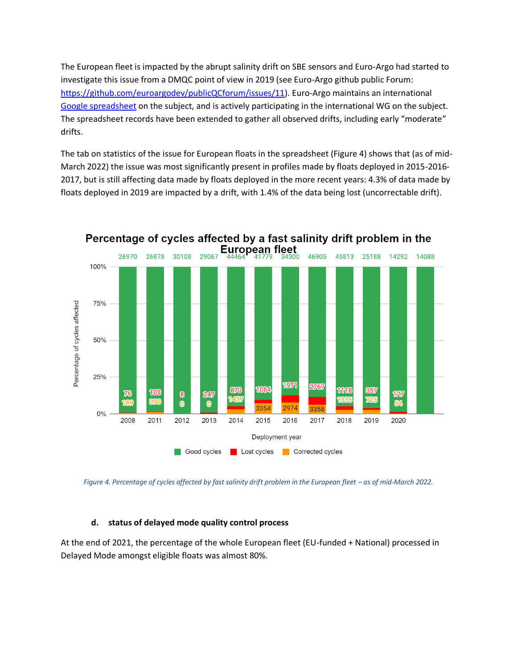The European fleet is impacted by the abrupt salinity drift on SBE sensors and Euro-Argo had started to investigate this issue from a DMQC point of view in 2019 (see Euro-Argo github public Forum: [https://github.com/euroargodev/publicQCforum/issues/11\)](https://github.com/euroargodev/publicQCforum/issues/11). Euro-Argo maintains an international [Google spreadsheet](https://docs.google.com/spreadsheets/d/1TA7SAnTiUvCK7AyGtSTUq3gu9QFbVdONj9M9zAq8CJU/edit#gid=974650348) on the subject, and is actively participating in the international WG on the subject. The spreadsheet records have been extended to gather all observed drifts, including early "moderate" drifts.

The tab on statistics of the issue for European floats in the spreadsheet (Figure 4) shows that (as of mid-March 2022) the issue was most significantly present in profiles made by floats deployed in 2015-2016- 2017, but is still affecting data made by floats deployed in the more recent years: 4.3% of data made by floats deployed in 2019 are impacted by a drift, with 1.4% of the data being lost (uncorrectable drift).



Figure 4. Percentage of cycles affected by fast salinity drift problem in the European fleet – as of mid-March 2022.

#### **d. status of delayed mode quality control process**

At the end of 2021, the percentage of the whole European fleet (EU-funded + National) processed in Delayed Mode amongst eligible floats was almost 80%.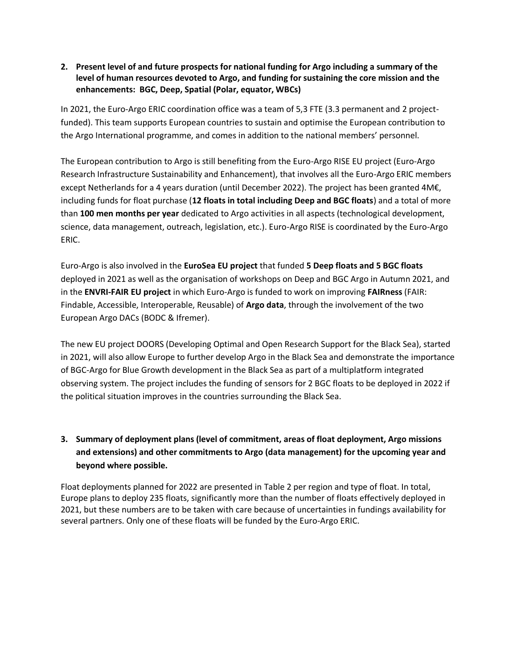## **2. Present level of and future prospects for national funding for Argo including a summary of the level of human resources devoted to Argo, and funding for sustaining the core mission and the enhancements: BGC, Deep, Spatial (Polar, equator, WBCs)**

In 2021, the Euro-Argo ERIC coordination office was a team of 5,3 FTE (3.3 permanent and 2 projectfunded). This team supports European countries to sustain and optimise the European contribution to the Argo International programme, and comes in addition to the national members' personnel.

The European contribution to Argo is still benefiting from the Euro-Argo RISE EU project (Euro-Argo Research Infrastructure Sustainability and Enhancement), that involves all the Euro-Argo ERIC members except Netherlands for a 4 years duration (until December 2022). The project has been granted 4M€, including funds for float purchase (**12 floats in total including Deep and BGC floats**) and a total of more than **100 men months per year** dedicated to Argo activities in all aspects (technological development, science, data management, outreach, legislation, etc.). Euro-Argo RISE is coordinated by the Euro-Argo ERIC.

Euro-Argo is also involved in the **EuroSea EU project** that funded **5 Deep floats and 5 BGC floats** deployed in 2021 as well as the organisation of workshops on Deep and BGC Argo in Autumn 2021, and in the **ENVRI-FAIR EU project** in which Euro-Argo is funded to work on improving **FAIRness** (FAIR: Findable, Accessible, Interoperable, Reusable) of **Argo data**, through the involvement of the two European Argo DACs (BODC & Ifremer).

The new EU project DOORS (Developing Optimal and Open Research Support for the Black Sea), started in 2021, will also allow Europe to further develop Argo in the Black Sea and demonstrate the importance of BGC-Argo for Blue Growth development in the Black Sea as part of a multiplatform integrated observing system. The project includes the funding of sensors for 2 BGC floats to be deployed in 2022 if the political situation improves in the countries surrounding the Black Sea.

# **3. Summary of deployment plans (level of commitment, areas of float deployment, Argo missions and extensions) and other commitments to Argo (data management) for the upcoming year and beyond where possible.**

Float deployments planned for 2022 are presented in Table 2 per region and type of float. In total, Europe plans to deploy 235 floats, significantly more than the number of floats effectively deployed in 2021, but these numbers are to be taken with care because of uncertainties in fundings availability for several partners. Only one of these floats will be funded by the Euro-Argo ERIC.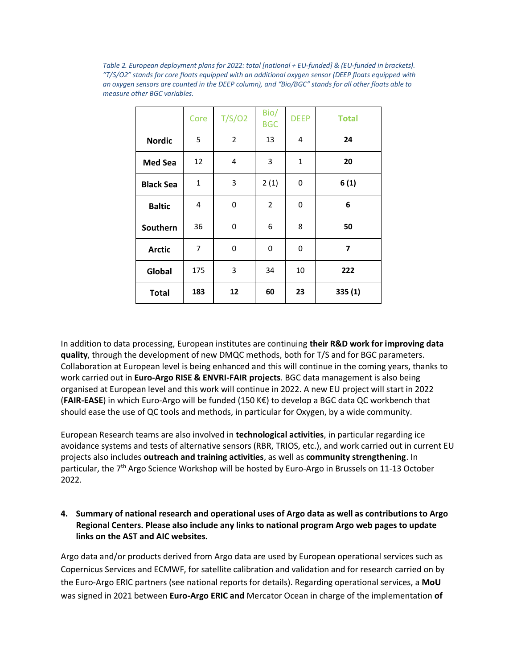*Table 2. European deployment plans for 2022: total [national + EU-funded] & (EU-funded in brackets). "T/S/O2" stands for core floats equipped with an additional oxygen sensor (DEEP floats equipped with an oxygen sensors are counted in the DEEP column), and "Bio/BGC" stands for all other floats able to measure other BGC variables.* 

|                  | Core         | T/S/O2         | Bio/<br><b>BGC</b> | <b>DEEP</b> | <b>Total</b> |
|------------------|--------------|----------------|--------------------|-------------|--------------|
| <b>Nordic</b>    | 5            | $\overline{2}$ | 13                 | 4           | 24           |
| <b>Med Sea</b>   | 12           | 4              | 3                  | 1           | 20           |
| <b>Black Sea</b> | $\mathbf{1}$ | 3              | 2(1)               | 0           | 6(1)         |
| <b>Baltic</b>    | 4            | 0              | $\overline{2}$     | 0           | 6            |
| Southern         | 36           | 0              | 6                  | 8           | 50           |
| <b>Arctic</b>    | 7            | 0              | 0                  | 0           | 7            |
| Global           | 175          | 3              | 34                 | 10          | 222          |
| <b>Total</b>     | 183          | 12             | 60                 | 23          | 335(1)       |

In addition to data processing, European institutes are continuing **their R&D work for improving data quality**, through the development of new DMQC methods, both for T/S and for BGC parameters. Collaboration at European level is being enhanced and this will continue in the coming years, thanks to work carried out in **Euro-Argo RISE & ENVRI-FAIR projects**. BGC data management is also being organised at European level and this work will continue in 2022. A new EU project will start in 2022 (**FAIR-EASE**) in which Euro-Argo will be funded (150 K€) to develop a BGC data QC workbench that should ease the use of QC tools and methods, in particular for Oxygen, by a wide community.

European Research teams are also involved in **technological activities**, in particular regarding ice avoidance systems and tests of alternative sensors (RBR, TRIOS, etc.), and work carried out in current EU projects also includes **outreach and training activities**, as well as **community strengthening**. In particular, the 7th Argo Science Workshop will be hosted by Euro-Argo in Brussels on 11-13 October 2022.

## **4. Summary of national research and operational uses of Argo data as well as contributions to Argo Regional Centers. Please also include any links to national program Argo web pages to update links on the AST and AIC websites.**

Argo data and/or products derived from Argo data are used by European operational services such as Copernicus Services and ECMWF, for satellite calibration and validation and for research carried on by the Euro-Argo ERIC partners (see national reports for details). Regarding operational services, a **MoU** was signed in 2021 between **Euro-Argo ERIC and** Mercator Ocean in charge of the implementation **of**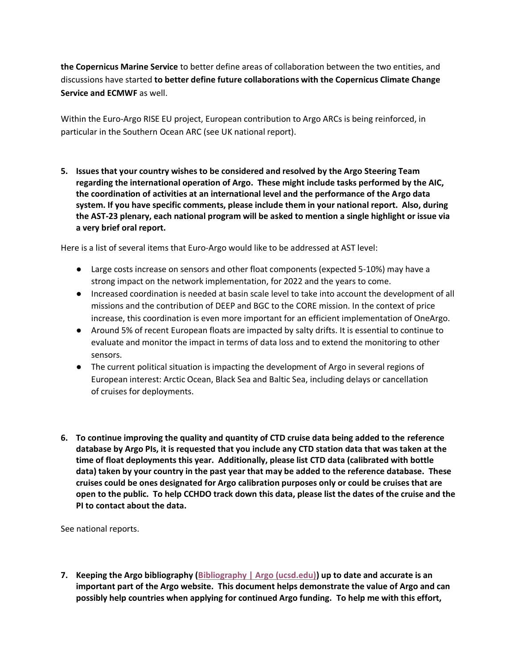**the Copernicus Marine Service** to better define areas of collaboration between the two entities, and discussions have started **to better define future collaborations with the Copernicus Climate Change Service and ECMWF** as well.

Within the Euro-Argo RISE EU project, European contribution to Argo ARCs is being reinforced, in particular in the Southern Ocean ARC (see UK national report).

**5. Issues that your country wishes to be considered and resolved by the Argo Steering Team regarding the international operation of Argo. These might include tasks performed by the AIC, the coordination of activities at an international level and the performance of the Argo data system. If you have specific comments, please include them in your national report. Also, during the AST-23 plenary, each national program will be asked to mention a single highlight or issue via a very brief oral report.**

Here is a list of several items that Euro-Argo would like to be addressed at AST level:

- Large costs increase on sensors and other float components (expected 5-10%) may have a strong impact on the network implementation, for 2022 and the years to come.
- Increased coordination is needed at basin scale level to take into account the development of all missions and the contribution of DEEP and BGC to the CORE mission. In the context of price increase, this coordination is even more important for an efficient implementation of OneArgo.
- Around 5% of recent European floats are impacted by salty drifts. It is essential to continue to evaluate and monitor the impact in terms of data loss and to extend the monitoring to other sensors.
- The current political situation is impacting the development of Argo in several regions of European interest: Arctic Ocean, Black Sea and Baltic Sea, including delays or cancellation of cruises for deployments.
- **6. To continue improving the quality and quantity of CTD cruise data being added to the reference database by Argo PIs, it is requested that you include any CTD station data that was taken at the time of float deployments this year. Additionally, please list CTD data (calibrated with bottle data) taken by your country in the past year that may be added to the reference database. These cruises could be ones designated for Argo calibration purposes only or could be cruises that are open to the public. To help CCHDO track down this data, please list the dates of the cruise and the PI to contact about the data.**

See national reports.

**7. Keeping the Argo bibliography [\(Bibliography | Argo \(ucsd.edu\)\)](https://argo.ucsd.edu/outreach/publications/bibliography/) up to date and accurate is an important part of the Argo website. This document helps demonstrate the value of Argo and can possibly help countries when applying for continued Argo funding. To help me with this effort,**